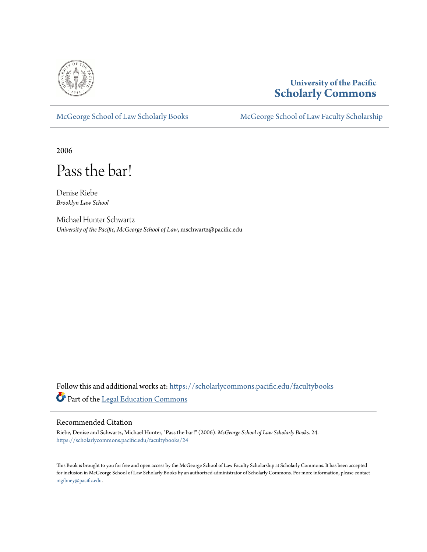

#### **University of the Pacific [Scholarly Commons](https://scholarlycommons.pacific.edu?utm_source=scholarlycommons.pacific.edu%2Ffacultybooks%2F24&utm_medium=PDF&utm_campaign=PDFCoverPages)**

[McGeorge School of Law Scholarly Books](https://scholarlycommons.pacific.edu/facultybooks?utm_source=scholarlycommons.pacific.edu%2Ffacultybooks%2F24&utm_medium=PDF&utm_campaign=PDFCoverPages) [McGeorge School of Law Faculty Scholarship](https://scholarlycommons.pacific.edu/facultyscholarship?utm_source=scholarlycommons.pacific.edu%2Ffacultybooks%2F24&utm_medium=PDF&utm_campaign=PDFCoverPages)

2006

Pass the bar!

Denise Riebe *Brooklyn Law School*

Michael Hunter Schwartz *University of the Pacific, McGeorge School of Law*, mschwartz@pacific.edu

Follow this and additional works at: [https://scholarlycommons.pacific.edu/facultybooks](https://scholarlycommons.pacific.edu/facultybooks?utm_source=scholarlycommons.pacific.edu%2Ffacultybooks%2F24&utm_medium=PDF&utm_campaign=PDFCoverPages) Part of the [Legal Education Commons](http://network.bepress.com/hgg/discipline/857?utm_source=scholarlycommons.pacific.edu%2Ffacultybooks%2F24&utm_medium=PDF&utm_campaign=PDFCoverPages)

#### Recommended Citation

Riebe, Denise and Schwartz, Michael Hunter, "Pass the bar!" (2006). *McGeorge School of Law Scholarly Books*. 24. [https://scholarlycommons.pacific.edu/facultybooks/24](https://scholarlycommons.pacific.edu/facultybooks/24?utm_source=scholarlycommons.pacific.edu%2Ffacultybooks%2F24&utm_medium=PDF&utm_campaign=PDFCoverPages)

This Book is brought to you for free and open access by the McGeorge School of Law Faculty Scholarship at Scholarly Commons. It has been accepted for inclusion in McGeorge School of Law Scholarly Books by an authorized administrator of Scholarly Commons. For more information, please contact [mgibney@pacific.edu.](mailto:mgibney@pacific.edu)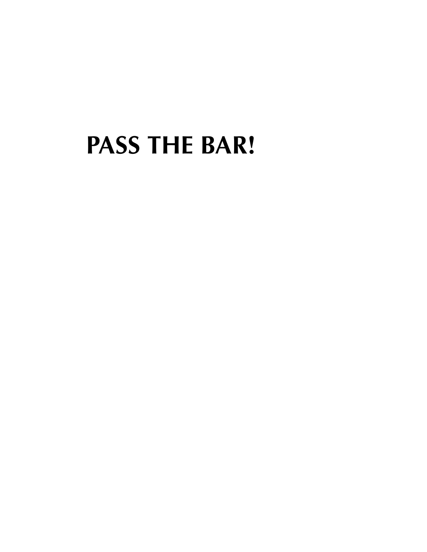# **PASS THE BAR!**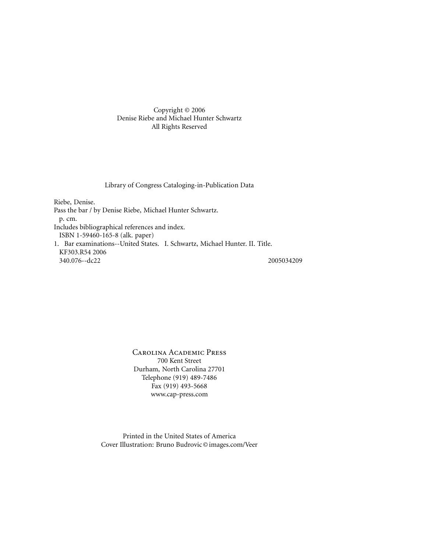Copyright © 2006 Denise Riebe and Michael Hunter Schwartz All Rights Reserved

Library of Congress Cataloging-in-Publication Data

Riebe, Denise.

Pass the bar / by Denise Riebe, Michael Hunter Schwartz. p. cm. Includes bibliographical references and index. ISBN 1-59460-165-8 (alk. paper) 1. Bar examinations--United States. I. Schwartz, Michael Hunter. II. Title. KF303.R54 2006 340.076--dc22 2005034209

> Carolina Academic Press 700 Kent Street Durham, North Carolina 27701 Telephone (919) 489-7486 Fax (919) 493-5668 www.cap-press.com

Printed in the United States of America Cover Illustration: Bruno Budrovic© images.com/Veer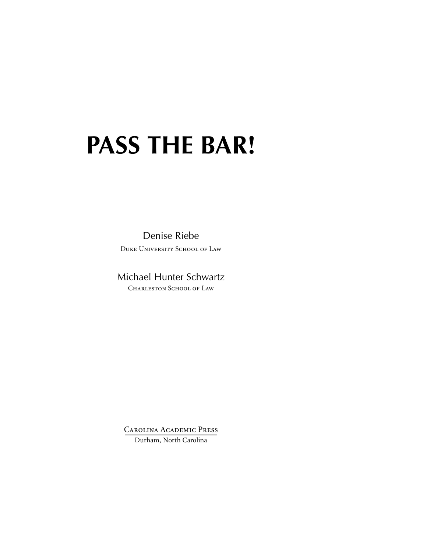# **PASS THE BAR!**

Denise Riebe Duke University School of Law

Michael Hunter Schwartz Charleston School of Law

Carolina Academic Press Durham, North Carolina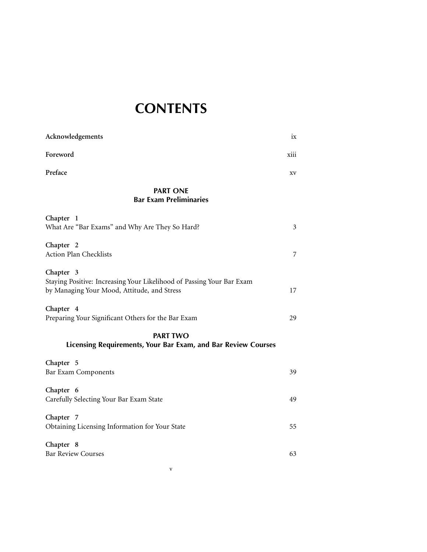## **CONTENTS**

| Acknowledgements                                                                                                                  | ix   |  |
|-----------------------------------------------------------------------------------------------------------------------------------|------|--|
| Foreword                                                                                                                          | xiii |  |
| Preface                                                                                                                           | XV   |  |
| <b>PART ONE</b><br><b>Bar Exam Preliminaries</b>                                                                                  |      |  |
| Chapter 1<br>What Are "Bar Exams" and Why Are They So Hard?                                                                       | 3    |  |
| Chapter 2<br><b>Action Plan Checklists</b>                                                                                        | 7    |  |
| Chapter 3<br>Staying Positive: Increasing Your Likelihood of Passing Your Bar Exam<br>by Managing Your Mood, Attitude, and Stress | 17   |  |
| Chapter 4<br>Preparing Your Significant Others for the Bar Exam                                                                   | 29   |  |
| <b>PART TWO</b><br>Licensing Requirements, Your Bar Exam, and Bar Review Courses                                                  |      |  |
| Chapter 5<br>Bar Exam Components                                                                                                  | 39   |  |
| Chapter 6<br>Carefully Selecting Your Bar Exam State                                                                              | 49   |  |
| Chapter 7<br>Obtaining Licensing Information for Your State                                                                       | 55   |  |
| Chapter 8<br><b>Bar Review Courses</b>                                                                                            | 63   |  |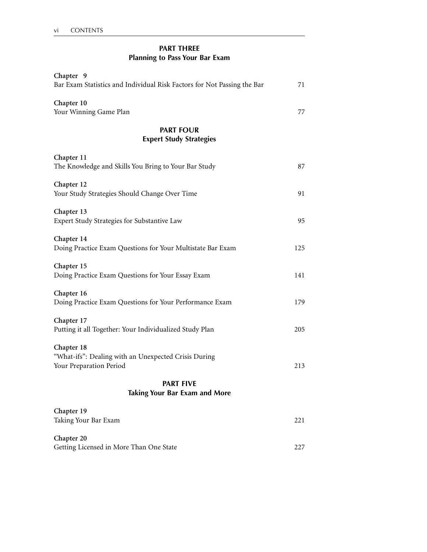#### **PART THREE Planning to Pass Your Bar Exam**

| Chapter 9<br>Bar Exam Statistics and Individual Risk Factors for Not Passing the Bar          | 71  |  |
|-----------------------------------------------------------------------------------------------|-----|--|
| Chapter 10<br>Your Winning Game Plan                                                          | 77  |  |
| <b>PART FOUR</b><br><b>Expert Study Strategies</b>                                            |     |  |
| Chapter 11<br>The Knowledge and Skills You Bring to Your Bar Study                            | 87  |  |
| Chapter 12<br>Your Study Strategies Should Change Over Time                                   | 91  |  |
| Chapter 13<br>Expert Study Strategies for Substantive Law                                     | 95  |  |
| Chapter 14<br>Doing Practice Exam Questions for Your Multistate Bar Exam                      | 125 |  |
| Chapter 15<br>Doing Practice Exam Questions for Your Essay Exam                               | 141 |  |
| Chapter 16<br>Doing Practice Exam Questions for Your Performance Exam                         | 179 |  |
| Chapter 17<br>Putting it all Together: Your Individualized Study Plan                         | 205 |  |
| Chapter 18<br>"What-ifs": Dealing with an Unexpected Crisis During<br>Your Preparation Period | 213 |  |
| <b>PART FIVE</b><br><b>Taking Your Bar Exam and More</b>                                      |     |  |
| $Cl_{2}$ = $\pm 10$                                                                           |     |  |

| Chapter 19                              |     |
|-----------------------------------------|-----|
| Taking Your Bar Exam                    | 221 |
|                                         |     |
| Chapter 20                              |     |
| Getting Licensed in More Than One State | 227 |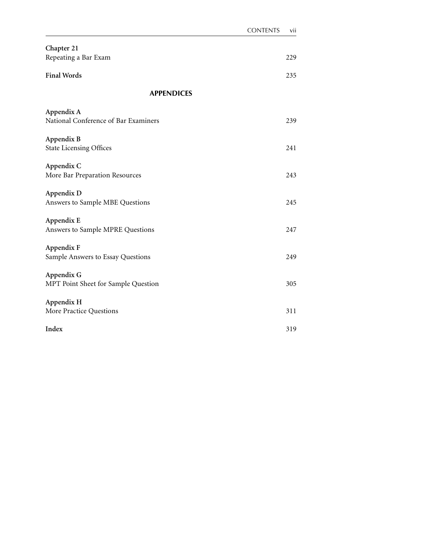| Chapter 21                                         |     |  |
|----------------------------------------------------|-----|--|
| Repeating a Bar Exam                               | 229 |  |
| <b>Final Words</b>                                 | 235 |  |
| <b>APPENDICES</b>                                  |     |  |
| Appendix A<br>National Conference of Bar Examiners | 239 |  |
| Appendix B<br><b>State Licensing Offices</b>       | 241 |  |
| Appendix C<br>More Bar Preparation Resources       | 243 |  |
| Appendix D<br>Answers to Sample MBE Questions      | 245 |  |
| Appendix E<br>Answers to Sample MPRE Questions     | 247 |  |
| Appendix F<br>Sample Answers to Essay Questions    | 249 |  |
| Appendix G<br>MPT Point Sheet for Sample Question  | 305 |  |
| Appendix H<br>More Practice Questions              | 311 |  |
| Index                                              | 319 |  |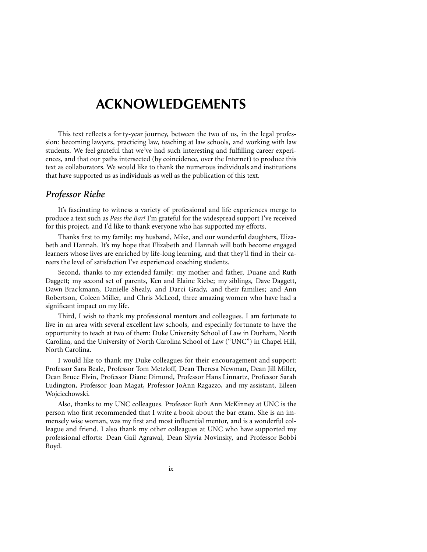## **ACKNOWLEDGEMENTS**

This text reflects a forty-year journey, between the two of us, in the legal profession: becoming lawyers, practicing law, teaching at law schools, and working with law students. We feel grateful that we've had such interesting and fulfilling career experiences, and that our paths intersected (by coincidence, over the Internet) to produce this text as collaborators. We would like to thank the numerous individuals and institutions that have supported us as individuals as well as the publication of this text.

#### *Professor Riebe*

It's fascinating to witness a variety of professional and life experiences merge to produce a text such as *Pass the Bar!* I'm grateful for the widespread support I've received for this project, and I'd like to thank everyone who has supported my efforts.

Thanks first to my family: my husband, Mike, and our wonderful daughters, Elizabeth and Hannah. It's my hope that Elizabeth and Hannah will both become engaged learners whose lives are enriched by life-long learning, and that they'll find in their careers the level of satisfaction I've experienced coaching students.

Second, thanks to my extended family: my mother and father, Duane and Ruth Daggett; my second set of parents, Ken and Elaine Riebe; my siblings, Dave Daggett, Dawn Brac kmann, Danielle Shealy, and Darci Grady, and their families; and Ann Robertson, Coleen Miller, and Chris McLeod, three amazing women who have had a significant impact on my life.

Third, I wish to thank my professional mentors and colleagues. I am fortunate to live in an area with several excellent law schools, and especially fortunate to have the opportunity to teach at two of them: Duke University School of Law in Durham, North Carolina, and the University of North Carolina School of Law ("UNC") in Chapel Hill, North Carolina.

I would like to thank my Duke colleagues for their encouragement and support: Professor Sara Beale, Professor Tom Metzloff, Dean Theresa Newman, Dean Jill Miller, Dean Bruce Elvin, Professor Diane Dimond, Professor Hans Linnartz, Professor Sarah Ludington, Professor Joan Magat, Professor JoAnn Ragazzo, and my assistant, Eileen Wojciechowski.

Also, thanks to my UNC colleagues. Professor Ruth Ann McKinney at UNC is the person who first recommended that I write a book about the bar exam. She is an immensely wise woman, was my first and most influential mentor, and is a wonderful colleague and friend. I also thank my other colleagues at UNC who have supported my professional efforts: Dean Gail Agrawal, Dean Slyvia Novinsky, and Professor Bobbi Boyd.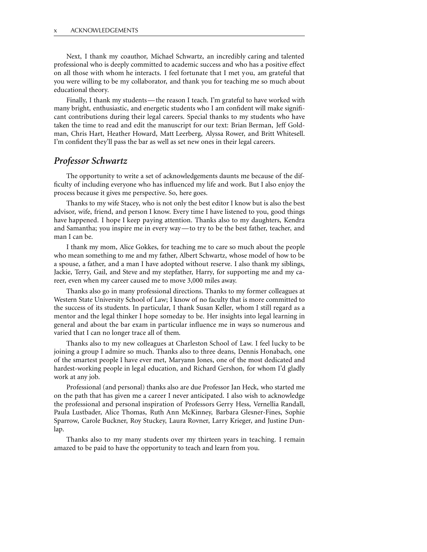Next, I thank my coauthor, Michael Schwartz, an incredibly caring and talented professional who is deeply committed to academic success and who has a positive effect on all those with whom he interacts. I feel fortunate that I met you, am grateful that you were willing to be my collaborator, and thank you for teaching me so much about educational theory.

Finally, I thank my students—the reason I teach. I'm grateful to have worked with many bright, enthusiastic, and energetic students who I am confident will make significant contributions during their legal careers. Special thanks to my students who have taken the time to read and edit the manuscript for our text: Brian Berman, Jeff Goldman, Chris Hart, Heather Howard, Matt Leerberg, Alyssa Rower, and Britt Whitesell. I'm confident they'll pass the bar as well as set new ones in their legal careers.

#### *Professor Schwartz*

The opportunity to write a set of acknowledgements daunts me because of the difficulty of including everyone who has influenced my life and work. But I also enjoy the process because it gives me perspective. So, here goes.

Thanks to my wife Stacey, who is not only the best editor I know but is also the best advisor, wife, friend, and person I know. Every time I have listened to you, good things have happened. I hope I keep paying attention. Thanks also to my daughters, Kendra and Samantha; you inspire me in every way—to try to be the best father, teacher, and man I can be.

I thank my mom, Alice Gokkes, for teaching me to care so much about the people who mean something to me and my father, Albert Schwartz, whose model of how to be a spouse, a father, and a man I have adopted without reserve. I also thank my siblings, Jackie, Terry, Gail, and Steve and my stepfather, Harry, for supporting me and my career, even when my career caused me to move 3,000 miles away.

Thanks also go in many professional directions. Thanks to my former colleagues at Western State University School of Law; I know of no faculty that is more committed to the success of its students. In particular, I thank Susan Keller, whom I still regard as a mentor and the legal thinker I hope someday to be. Her insights into legal learning in general and about the bar exam in particular influence me in ways so numerous and varied that I can no longer trace all of them.

Thanks also to my new colleagues at Charleston School of Law. I feel lucky to be joining a group I admire so much. Thanks also to three deans, Dennis Honabach, one of the smartest people I have ever met, Maryann Jones, one of the most dedicated and hardest-working people in legal education, and Richard Gershon, for whom I'd gladly work at any job.

Professional (and personal) thanks also are due Professor Jan Heck, who started me on the path that has given me a career I never anticipated. I also wish to acknowledge the professional and personal inspiration of Professors Gerry Hess, Vernellia Randall, Paula Lustbader, Alice Thomas, Ruth Ann McKinney, Barbara Glesner-Fines, Sophie Sparrow, Carole Buckner, Roy Stuckey, Laura Rovner, Larry Krieger, and Justine Dunlap.

Thanks also to my many students over my thirteen years in teaching. I remain amazed to be paid to have the opportunity to teach and learn from you.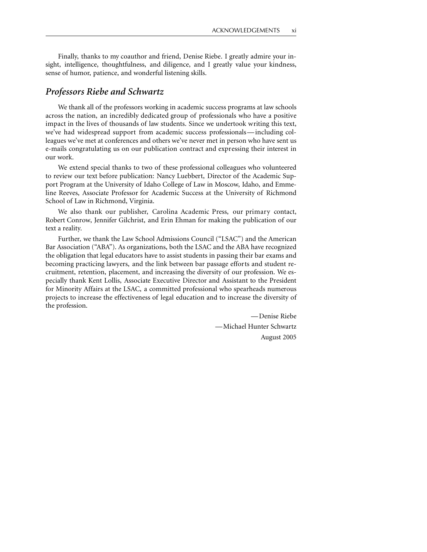Finally, thanks to my coauthor and friend, Denise Riebe. I greatly admire your insight, intelligence, thoughtfulness, and diligence, and I greatly value your kindness, sense of humor, patience, and wonderful listening skills.

#### *Professors Riebe and Schwartz*

We thank all of the professors working in academic success programs at law schools across the nation, an incredibly dedicated group of professionals who have a positive impact in the lives of thousands of law students. Since we undertook writing this text, we've had widespread support from academic success professionals—including colleagues we've met at conferences and others we've never met in person who have sent us e-mails congratulating us on our publication contract and expressing their interest in our work.

We extend special thanks to two of these professional colleagues who volunteered to review our text before publication: Nancy Luebbert, Director of the Academic Support Program at the University of Idaho College of Law in Moscow, Idaho, and Emmeline Reeves, Associate Professor for Academic Success at the University of Richmond School of Law in Richmond, Virginia.

We also thank our publisher, Carolina Academic Press, our primary contact, Robert Conrow, Jennifer Gilchrist, and Erin Ehman for making the publication of our text a reality.

Further, we thank the Law School Admissions Council ("LSAC") and the American Bar Association ("ABA"). As organizations, both the LSAC and the ABA have recognized the obligation that legal educators have to assist students in passing their bar exams and becoming practicing lawyers, and the link between bar passage efforts and student recruitment, retention, placement, and increasing the diversity of our profession. We especially thank Kent Lollis, Associate Executive Director and Assistant to the President for Minority Affairs at the LSAC, a committed professional who spearheads numerous projects to increase the effectiveness of legal education and to increase the diversity of the profession.

> —Denise Riebe —Michael Hunter Schwartz August 2005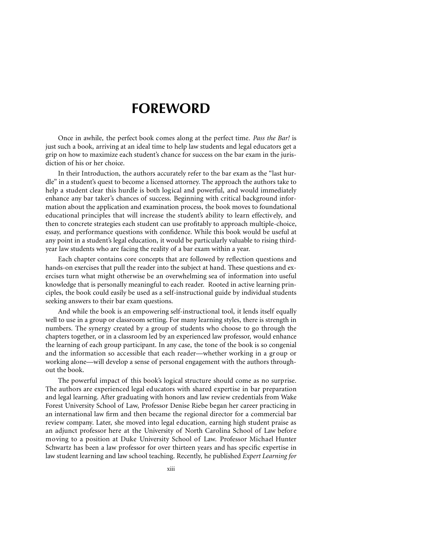### **FOREWORD**

Once in awhile, the perfect book comes along at the perfect time. *Pass the Bar!* is just such a book, arriving at an ideal time to help law students and legal educators get a grip on how to maximize each student's chance for success on the bar exam in the jurisdiction of his or her choice.

In their Introduction, the authors accurately refer to the bar exam as the "last hurdle" in a student's quest to become a licensed attorney. The approach the authors take to help a student clear this hurdle is both logical and powerful, and would immediately enhance any bar taker's chances of success. Beginning with critical background information about the application and examination process, the book moves to foundational educational principles that will increase the student's ability to learn effectively, and then to concrete strategies each student can use profitably to approach multiple-choice, essay, and performance questions with confidence. While this book would be useful at any point in a student's legal education, it would be particularly valuable to rising thirdyear law students who are facing the reality of a bar exam within a year.

Each chapter contains core concepts that are followed by reflection questions and hands-on exercises that pull the reader into the subject at hand. These questions and exercises turn what might otherwise be an overwhelming sea of information into useful knowledge that is personally meaningful to each reader. Rooted in active learning principles, the book could easily be used as a self-instructional guide by individual students seeking answers to their bar exam questions.

And while the book is an empowering self-instructional tool, it lends itself equally well to use in a group or classroom setting. For many learning styles, there is strength in numbers. The synergy created by a group of students who choose to go through the chapters together, or in a classroom led by an experienced law professor, would enhance the learning of each group participant. In any case, the tone of the book is so congenial and the information so accessible that each reader—whether working in a group or working alone—will develop a sense of personal engagement with the authors throughout the book.

The powerful impact of this book's logical structure should come as no surprise. The authors are experienced legal educators with shared expertise in bar preparation and legal learning. After graduating with honors and law review credentials from Wake Forest University School of Law, Professor Denise Riebe began her career practicing in an international law firm and then became the regional director for a commercial bar review company. Later, she moved into legal education, earning high student praise as an adjunct professor here at the University of North Carolina School of Law before moving to a position at Duke University School of Law. Professor Michael Hunter Schwartz has been a law professor for over thirteen years and has specific expertise in law student learning and law school teaching. Recently, he published *Expert Learning for*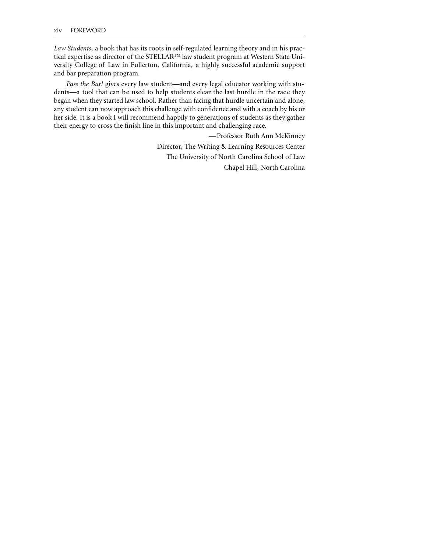*Law Students*, a book that has its roots in self-regulated learning theory and in his practical expertise as director of the STELLARTM law student program at Western State University College of Law in Fullerton, California, a highly successful academic support and bar preparation program.

*Pass the Bar!* gives every law student—and every legal educator working with students-a tool that can be used to help students clear the last hurdle in the race they began when they started law school. Rather than facing that hurdle uncertain and alone, any student can now approach this challenge with confidence and with a coach by his or her side. It is a book I will recommend happily to generations of students as they gather their energy to cross the finish line in this important and challenging race.

> —Professor Ruth Ann McKinney Director, The Writing & Learning Resources Center The University of North Carolina School of Law Chapel Hill, North Carolina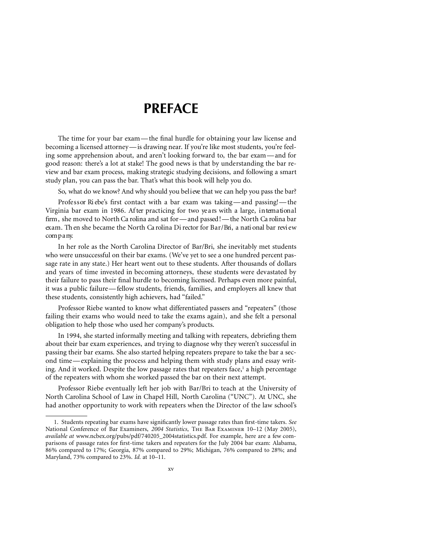### **PREFACE**

The time for your bar exam—the final hurdle for obtaining your law license and becoming a licensed attorney—is drawing near. If you're like most students, you're feeling some apprehension about, and aren't looking forward to, the bar exam—and for good reason: there's a lot at stake! The good news is that by understanding the bar review and bar exam process, making strategic studying decisions, and following a smart study plan, you can pass the bar. That's what this book will help you do.

So, what do we know? And why should you believe that we can help you pass the bar?

Professor Ri ebe's first contact with a bar exam was taking—and passing!—the Virginia bar exam in 1986. After practicing for two ye ars with a large, international firm, she moved to North Ca rolina and sat for—and passed!—the North Ca rolina bar exam. Th en she became the North Ca rolina Di rector for Bar/Bri, a nati onal bar revi ew com p a ny.

In her role as the North Carolina Director of Bar/Bri, she inevitably met students who were unsuccessful on their bar exams. (We've yet to see a one hundred percent passage rate in any state.) Her heart went out to these students. After thousands of dollars and years of time invested in becoming attorneys, these students were devastated by their failure to pass their final hurdle to becoming licensed. Perhaps even more painful, it was a public failure—fellow students, friends, families, and employers all knew that these students, consistently high achievers, had "failed."

Professor Riebe wanted to know what differentiated passers and "repeaters" (those failing their exams who would need to take the exams again), and she felt a personal obligation to help those who used her company's products.

In 1994, she started informally meeting and talking with repeaters, debriefing them about their bar exam experiences, and trying to diagnose why they weren't successful in passing their bar exams. She also started helping repeaters prepare to take the bar a second time—explaining the process and helping them with study plans and essay writing. And it worked. Despite the low passage rates that repeaters face, $\frac{1}{2}$  a high percentage of the repeaters with whom she worked passed the bar on their next attempt.

Professor Riebe eventually left her job with Bar/Bri to teach at the University of North Carolina School of Law in Chapel Hill, North Carolina ("UNC"). At UNC, she had another opportunity to work with repeaters when the Director of the law school's

<sup>1.</sup> Students repeating bar exams have significantly lower passage rates than first-time takers. *See* National Conference of Bar Examiners, *2004 Statistics*, The Bar Examiner 10–12 (May 2005), *available at* www.ncbex.org/pubs/pdf/740205\_2004statistics.pdf. For example, here are a few comparisons of passage rates for first-time takers and repeaters for the July 2004 bar exam: Alabama, 86% compared to 17%; Georgia, 87% compared to 29%; Michigan, 76% compared to 28%; and Maryland, 73% compared to 23%. *Id.* at 10–11.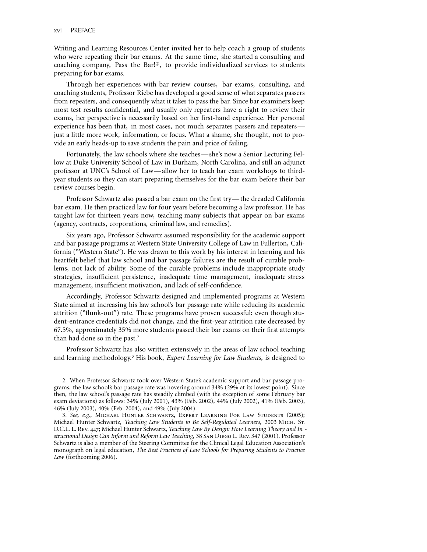Writing and Learning Resources Center invited her to help coach a group of students who were repeating their bar exams. At the same time, she started a consulting and coaching company, Pass the Bar!®, to provide individualized services to students preparing for bar exams.

Through her experiences with bar review courses, bar exams, consulting, and coaching students, Professor Riebe has developed a good sense of what separates passers from repeaters, and consequently what it takes to pass the bar. Since bar examiners keep most test results confidential, and usually only repeaters have a right to review their exams, her perspective is necessarily based on her first-hand experience. Her personal experience has been that, in most cases, not much separates passers and repeaters just a little more work, information, or focus. What a shame, she thought, not to provide an early heads-up to save students the pain and price of failing.

Fortunately, the law schools where she teaches—she's now a Senior Lecturing Fellow at Duke University School of Law in Durham, North Carolina, and still an adjunct professor at UNC's School of Law—allow her to teach bar exam workshops to thirdyear students so they can start preparing themselves for the bar exam before their bar review courses begin.

Professor Schwartz also passed a bar exam on the first try—the dreaded California bar exam. He then practiced law for four years before becoming a law professor. He has taught law for thirteen y ears now, teaching many subjects that appear on bar exams (agency, contracts, corporations, criminal law, and remedies).

Six years ago, Professor Schwartz assumed responsibility for the academic support and bar passage programs at Western State University College of Law in Fullerton, California ("Western State"). He was drawn to this work by his interest in learning and his heartfelt belief that law school and bar passage failures are the result of curable problems, not lack of ability. Some of the curable problems include inappropriate study strategies, insufficient persistence, inadequate time management, inadequate stress management, insufficient motivation, and lack of self-confidence.

Accordingly, Professor Schwartz designed and implemented programs at Western State aimed at increasing his law school's bar passage rate while reducing its academic attrition ("flunk-out") rate. These programs have proven successful: even though student-entrance credentials did not change, and the first-year attrition rate decreased by 67.5%, approximately 35% more students passed their bar exams on their first attempts than had done so in the past.<sup>2</sup>

Professor Schwartz has also written extensively in the areas of law school teaching and learning methodology. <sup>3</sup> His book, *Expert Learning for Law Students*, is designed to

<sup>2.</sup> When Professor Schwartz took over Western State's academic support and bar passage programs, the law school's bar passage rate was hovering around 34% (29% at its lowest point). Since then, the law school's passage rate has steadily climbed (with the exception of some February bar exam deviations) as follows: 34% (July 2001), 43% (Feb. 2002), 44% (July 2002), 41% (Feb. 2003), 46% (July 2003), 40% (Feb. 2004), and 49% (July 2004).

<sup>3.</sup> *See, e.g.*, Michael Hunter Schwartz, Expert Learning For Law Students (2005); Michael Hunter Schwartz, *Teaching Law Students to Be Self-Regulated Learners*, 2003 Mich. St. D.C.L. L. Rev. 447; Michael Hunter Schwartz, *Teaching Law By Design: How Learning Theory and In structional Design Can Inform and Reform Law Teaching*, 38 San Diego L. Rev. 347 (2001). Professor Schwartz is also a member of the Steering Committee for the Clinical Legal Education Association's monograph on legal education, *The Best Practices of Law Schools for Preparing Students to Practice Law* (forthcoming 2006).